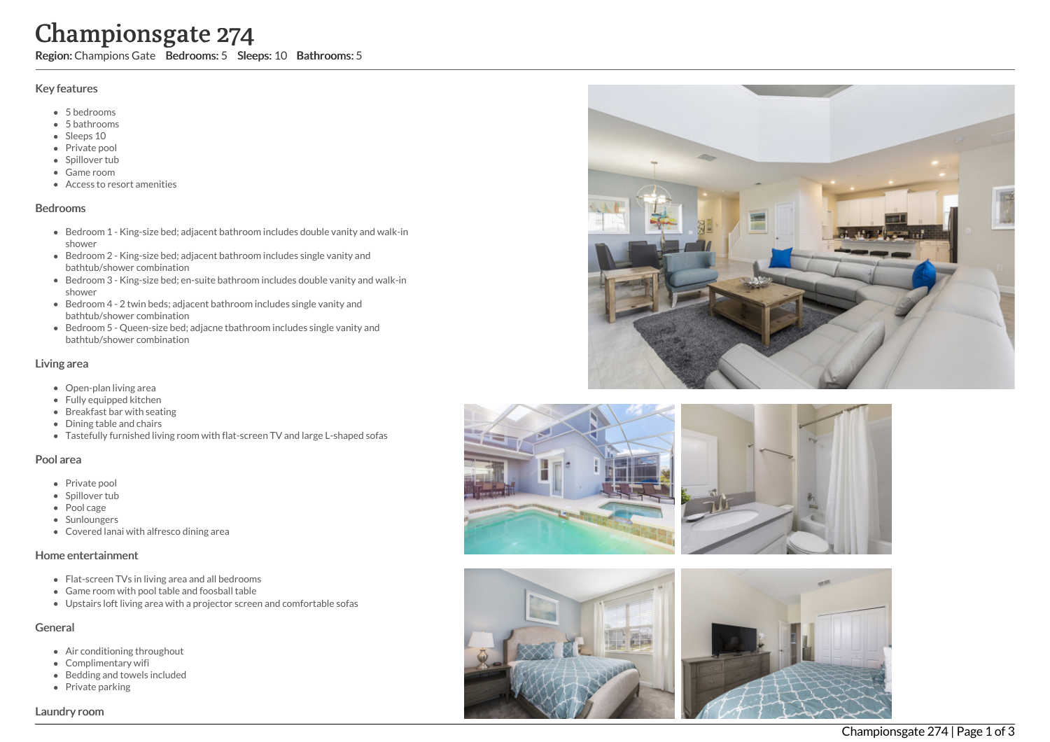# Championsgate 274

Region: Champions Gate Bedrooms: 5 Sleeps: 10 Bathrooms: 5

#### Key features

- 5 b e d r o o m s
- 5 b a t h r o o m s
- Sleeps 10
- Private pool
- Spillover tub
- Game room
- Access to resort amenities

#### **Bedrooms**

- Bedroom 1 King-size bed; adjacent bathroom includes double vanity and walk-in s h o w e r
- Bedroom 2 King-size bed; adjacent bathroom includes single vanity and bathtub/shower combination
- Bedroom 3 King-size bed; en-suite bathroom includes double vanity and walk-in s h o w e r
- Bedroom 4 2 twin beds; adjacent bathroom includes single vanity and bathtub/shower combination
- Bedroom 5 Queen-size bed; adjacne tbathroom includes single vanity and bathtub/shower combination

#### Living area

- Open-plan living area
- Fully equipped kitchen
- Breakfast bar with seating
- Dining table and chairs
- Tastefully furnished living room with flat-screen TV and large L-shaped sofas

#### Pool area

- Private pool
- Spillover tub
- Pool cage
- Sunloungers
- Covered lanai with alfresco dining area

#### Home entertainment

- Flat-screen TVs in living area and all bedrooms
- Game room with pool table and foosball table
- Upstairs loft living area with a projector screen and comfortable sofas

#### General

- Air conditioning throughout
- Complimentary wifi
- Bedding and towels in clu d e d
- Private parking





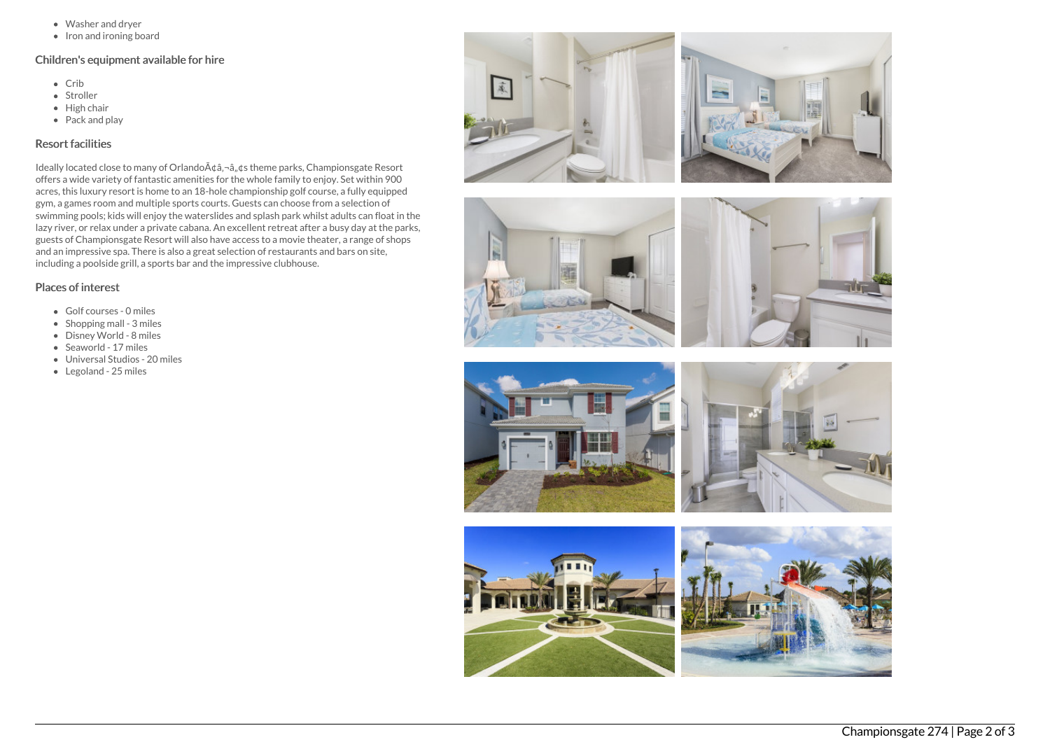- Washer and dryer
- $\bullet$  Iron and ironing board

## Children's equipment available for hire

- Crib
- Stroller
- $\bullet$  High chair
- Pack and play

## Resort facilities

Ideally located close to many of Orlando A¢â,¬â, ¢s theme parks, Championsgate Resort offers a wide variety of fantastic amenities for the whole family to enjoy. Set within 900 acres, this luxury resort is home to an 18-hole championship golf course, a fully equipped gym, a games room and multiple sports courts. Guests can choose from a selection of swimming pools; kids will enjoy the waterslides and splash park whilst adults can float in the lazy river, or relax under a private cabana. An excellent retreat after a busy day at the parks, guests of Championsgate Resort will also have access to a movie theater, a range of shops and an impressive spa. There is also a great selection of restaurants and bars on site, including a poolside grill, a sports bar and the impressive clubhouse.

### Places of interest

- Golf courses 0 miles
- Shopping mall 3 miles
- Disney World 8 miles
- Seaworld 17 miles
- Universal Studios 20 miles
- Legoland 25 miles